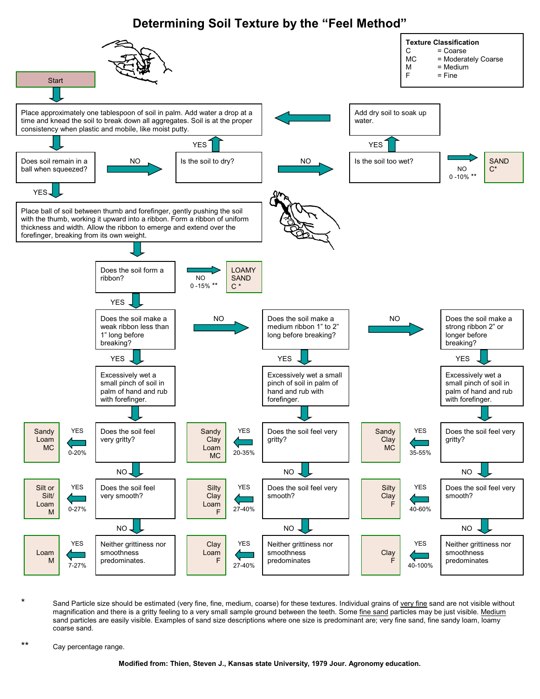## **Determining Soil Texture by the "Feel Method"**



Sand Particle size should be estimated (very fine, fine, medium, coarse) for these textures. Individual grains of very fine sand are not visible without magnification and there is a gritty feeling to a very small sample ground between the teeth. Some fine sand particles may be just visible. Medium sand particles are easily visible. Examples of sand size descriptions where one size is predominant are; very fine sand, fine sandy loam, loamy coarse sand.

\*\* Cay percentage range.